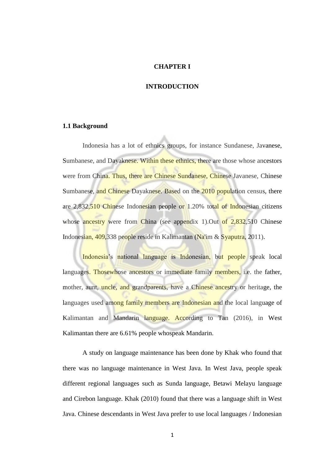### **CHAPTER I**

### **INTRODUCTION**

#### **1.1 Background**

Indonesia has a lot of ethnics groups, for instance Sundanese, Javanese, Sumbanese, and Dayaknese. Within these ethnics, there are those whose ancestors were from China. Thus, there are Chinese Sundanese, Chinese Javanese, Chinese Sumbanese, and Chinese Dayaknese. Based on the 2010 population census, there are 2,832,510 Chinese Indonesian people or 1.20% total of Indonesian citizens whose ancestry were from China (see appendix 1). Out of  $2,832,510$  Chinese Indonesian, 409,338 people reside in Kalimantan (Na'im & Syaputra, 2011).

Indonesia's national language is Indonesian, but people speak local languages. Those whose ancestors or immediate family members, i.e. the father, mother, aunt, uncle, and grandparents, have a Chinese ancestry or heritage, the languages used among family members are Indonesian and the local language of Kalimantan and Mandarin language. According to Tan (2016), in West Kalimantan there are 6.61% people whospeak Mandarin.

 A study on language maintenance has been done by Khak who found that there was no language maintenance in West Java. In West Java, people speak different regional languages such as Sunda language, Betawi Melayu language and Cirebon language. Khak (2010) found that there was a language shift in West Java. Chinese descendants in West Java prefer to use local languages / Indonesian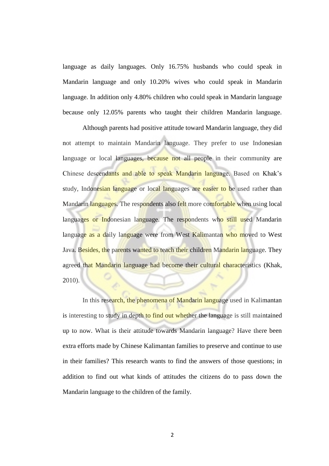language as daily languages. Only 16.75% husbands who could speak in Mandarin language and only 10.20% wives who could speak in Mandarin language. In addition only 4.80% children who could speak in Mandarin language because only 12.05% parents who taught their children Mandarin language.

Although parents had positive attitude toward Mandarin language, they did not attempt to maintain Mandarin language. They prefer to use Indonesian language or local languages, because not all people in their community are Chinese descendants and able to speak Mandarin language. Based on Khak's study, Indonesian language or local languages are easier to be used rather than Mandarin languages. The respondents also felt more comfortable when using local languages or Indonesian language. The respondents who still used Mandarin language as a daily language were from West Kalimantan who moved to West Java. Besides, the parents wanted to teach their children Mandarin language. They agreed that Mandarin language had become their cultural characteristics (Khak, 2010).

In this research, the phenomena of Mandarin language used in Kalimantan is interesting to study in depth to find out whether the language is still maintained up to now. What is their attitude towards Mandarin language? Have there been extra efforts made by Chinese Kalimantan families to preserve and continue to use in their families? This research wants to find the answers of those questions; in addition to find out what kinds of attitudes the citizens do to pass down the Mandarin language to the children of the family.

2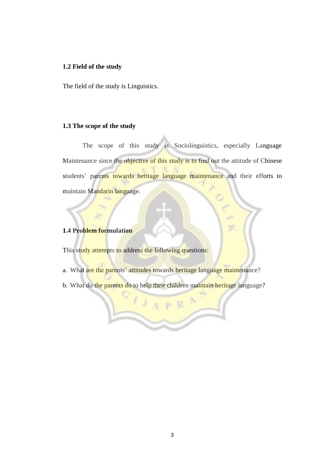## **1.2 Field of the study**

The field of the study is Linguistics.

## **1.3 The scope of the study**

 The scope of this study is Sociolinguistics, especially Language Maintenance since the objective of this study is to find out the attitude of Chinese students' parents towards heritage language maintenance and their efforts to maintain Mandarin language.

### **1.4 Problem formulation**

This study attempts to address the following questions:

- a. What are the parents' attitudes towards heritage language maintenance?
- b. What do the parents do to help their children maintain heritage language?